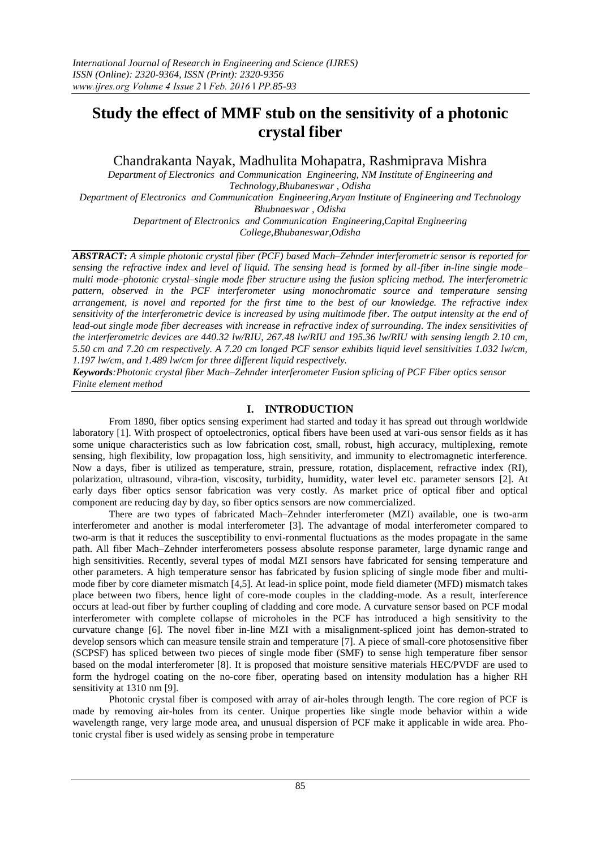# **Study the effect of MMF stub on the sensitivity of a photonic crystal fiber**

Chandrakanta Nayak, Madhulita Mohapatra, Rashmiprava Mishra

*Department of Electronics and Communication Engineering, NM Institute of Engineering and Technology,Bhubaneswar , Odisha Department of Electronics and Communication Engineering,Aryan Institute of Engineering and Technology Bhubnaeswar , Odisha Department of Electronics and Communication Engineering,Capital Engineering* 

*College,Bhubaneswar,Odisha*

*ABSTRACT: A simple photonic crystal fiber (PCF) based Mach–Zehnder interferometric sensor is reported for sensing the refractive index and level of liquid. The sensing head is formed by all-fiber in-line single mode– multi mode–photonic crystal–single mode fiber structure using the fusion splicing method. The interferometric pattern, observed in the PCF interferometer using monochromatic source and temperature sensing arrangement, is novel and reported for the first time to the best of our knowledge. The refractive index sensitivity of the interferometric device is increased by using multimode fiber. The output intensity at the end of lead-out single mode fiber decreases with increase in refractive index of surrounding. The index sensitivities of the interferometric devices are 440.32 lw/RIU, 267.48 lw/RIU and 195.36 lw/RIU with sensing length 2.10 cm, 5.50 cm and 7.20 cm respectively. A 7.20 cm longed PCF sensor exhibits liquid level sensitivities 1.032 lw/cm, 1.197 lw/cm, and 1.489 lw/cm for three different liquid respectively.*

*Keywords:Photonic crystal fiber Mach–Zehnder interferometer Fusion splicing of PCF Fiber optics sensor Finite element method*

## **I. INTRODUCTION**

From 1890, fiber optics sensing experiment had started and today it has spread out through worldwide laboratory [\[1\].](#page-6-0) With prospect of optoelectronics, optical fibers have been used at vari-ous sensor fields as it has some unique characteristics such as low fabrication cost, small, robust, high accuracy, multiplexing, remote sensing, high flexibility, low propagation loss, high sensitivity, and immunity to electromagnetic interference. Now a days, fiber is utilized as temperature, strain, pressure, rotation, displacement, refractive index (RI), polarization, ultrasound, vibra-tion, viscosity, turbidity, humidity, water level etc. parameter sensors [\[2\].](#page-6-0) At early days fiber optics sensor fabrication was very costly. As market price of optical fiber and optical component are reducing day by day, so fiber optics sensors are now commercialized.

There are two types of fabricated Mach–Zehnder interferometer (MZI) available, one is two-arm interferometer and another is modal interferometer [\[3\].](#page-6-0) The advantage of modal interferometer compared to two-arm is that it reduces the susceptibility to envi-ronmental fluctuations as the modes propagate in the same path. All fiber Mach–Zehnder interferometers possess absolute response parameter, large dynamic range and high sensitivities. Recently, several types of modal MZI sensors have fabricated for sensing temperature and other parameters. A high temperature sensor has fabricated by fusion splicing of single mode fiber and multimode fiber by core diameter mismatch [\[4,5\].](#page-6-0) At lead-in splice point, mode field diameter (MFD) mismatch takes place between two fibers, hence light of core-mode couples in the cladding-mode. As a result, interference occurs at lead-out fiber by further coupling of cladding and core mode. A curvature sensor based on PCF modal interferometer with complete collapse of microholes in the PCF has introduced a high sensitivity to the curvature change [\[6\].](#page-6-0) The novel fiber in-line MZI with a misalignment-spliced joint has demon-strated to develop sensors which can measure tensile strain and temperature [\[7\].](#page-6-0) A piece of small-core photosensitive fiber (SCPSF) has spliced between two pieces of single mode fiber (SMF) to sense high temperature fiber sensor based on the modal interferometer [\[8\].](#page-6-0) It is proposed that moisture sensitive materials HEC/PVDF are used to form the hydrogel coating on the no-core fiber, operating based on intensity modulation has a higher RH sensitivity at 1310 nm [\[9\].](#page-6-0)

Photonic crystal fiber is composed with array of air-holes through length. The core region of PCF is made by removing air-holes from its center. Unique properties like single mode behavior within a wide wavelength range, very large mode area, and unusual dispersion of PCF make it applicable in wide area. Photonic crystal fiber is used widely as sensing probe in temperature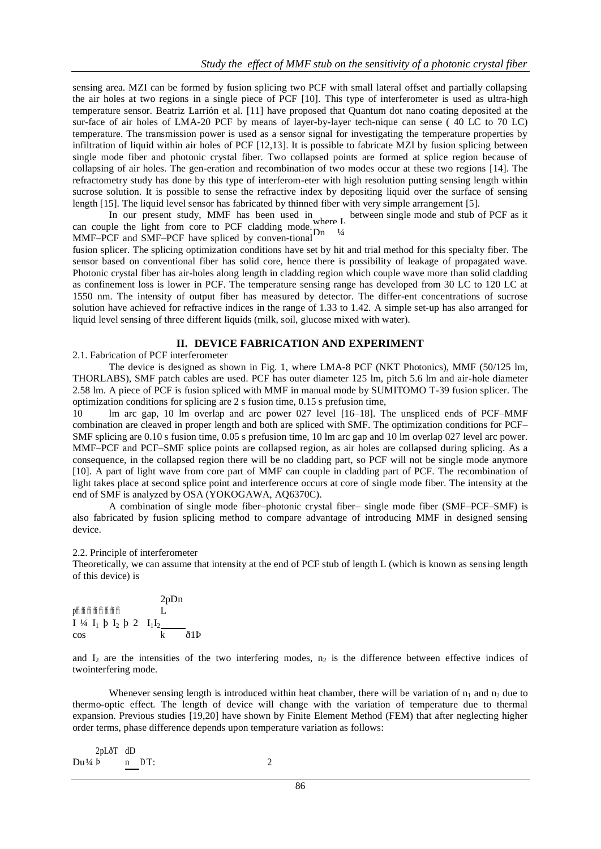sensing area. MZI can be formed by fusion splicing two PCF with small lateral offset and partially collapsing the air holes at two regions in a single piece of PCF [\[10\].](#page-6-0) This type of interferometer is used as ultra-high temperature sensor. Beatriz Larrión et al. [\[11\]](#page-6-0) have proposed that Quantum dot nano coating deposited at the sur-face of air holes of LMA-20 PCF by means of layer-by-layer tech-nique can sense ( 40 LC to 70 LC) temperature. The transmission power is used as a sensor signal for investigating the temperature properties by infiltration of liquid within air holes of PCF [\[12,13\].](#page-6-0) It is possible to fabricate MZI by fusion splicing between single mode fiber and photonic crystal fiber. Two collapsed points are formed at splice region because of collapsing of air holes. The gen-eration and recombination of two modes occur at these two regions [\[14\].](#page-6-0) The refractometry study has done by this type of interferom-eter with high resolution putting sensing length within sucrose solution. It is possible to sense the refractive index by depositing liquid over the surface of sensing length [\[15\].](#page-6-0) The liquid level sensor has fabricated by thinned fiber with very simple arrangement [\[5\].](#page-6-0)

In our present study, MMF has been used in  $\epsilon$  between single mode and stub of PCF as it can couple the light from core to PCF cladding mode. where I<sub>1</sub>

MMF–PCF and SMF–PCF have spliced by conven-tional  $\frac{1}{4}$ 

fusion splicer. The splicing optimization conditions have set by hit and trial method for this specialty fiber. The more fusion splicer. sensor based on conventional fiber has solid core, hence there is possibility of leakage of propagated wave. Photonic crystal fiber has air-holes along length in cladding region which couple wave more than solid cladding as confinement loss is lower in PCF. The temperature sensing range has developed from 30 LC to 120 LC at 1550 nm. The intensity of output fiber has measured by detector. The differ-ent concentrations of sucrose solution have achieved for refractive indices in the range of 1.33 to 1.42. A simple set-up has also arranged for liquid level sensing of three different liquids (milk, soil, glucose mixed with water).

## <span id="page-1-0"></span>**II. DEVICE FABRICATION AND EXPERIMENT**

2.1. Fabrication of PCF interferometer

The device is designed as shown in [Fig. 1,](#page-1-0) where LMA-8 PCF (NKT Photonics), MMF (50/125 lm, THORLABS), SMF patch cables are used. PCF has outer diameter 125 lm, pitch 5.6 lm and air-hole diameter 2.58 lm. A piece of PCF is fusion spliced with MMF in manual mode by SUMITOMO T-39 fusion splicer. The optimization conditions for splicing are 2 s fusion time, 0.15 s prefusion time,

10 lm arc gap, 10 lm overlap and arc power 027 level [\[16–18\].](#page-6-0) The unspliced ends of PCF–MMF combination are cleaved in proper length and both are spliced with SMF. The optimization conditions for PCF– SMF splicing are 0.10 s fusion time, 0.05 s prefusion time, 10 lm arc gap and 10 lm overlap 027 level arc power. MMF–PCF and PCF–SMF splice points are collapsed region, as air holes are collapsed during splicing. As a consequence, in the collapsed region there will be no cladding part, so PCF will not be single mode anymore [\[10\].](#page-6-0) A part of light wave from core part of MMF can couple in cladding part of PCF. The recombination of light takes place at second splice point and interference occurs at core of single mode fiber. The intensity at the end of SMF is analyzed by OSA (YOKOGAWA, AQ6370C).

A combination of single mode fiber–photonic crystal fiber– single mode fiber (SMF–PCF–SMF) is also fabricated by fusion splicing method to compare advantage of introducing MMF in designed sensing device.

#### 2.2. Principle of interferometer

Theoretically, we can assume that intensity at the end of PCF stub of length L (which is known as sensing length of this device) is

<sup>p</sup>ffi ffi ffi ffi ffi ffi ffi ffi 2pDn L  $I \frac{1}{4} I_1 \not{p} I_2 \not{p} 2 I_1 I_2$ cos k ð1Þ

and  $I_2$  are the intensities of the two interfering modes,  $n_2$  is the difference between effective indices of twointerfering mode.

Whenever sensing length is introduced within heat chamber, there will be variation of  $n_1$  and  $n_2$  due to thermo-optic effect. The length of device will change with the variation of temperature due to thermal expansion. Previous studies [19,20] have shown by Finite Element Method (FEM) that after neglecting higher order terms, phase difference depends upon temperature variation as follows:

| 2pLðT dD                   |   |
|----------------------------|---|
| $Du \nsubseteq \Phi$ n DT: | 2 |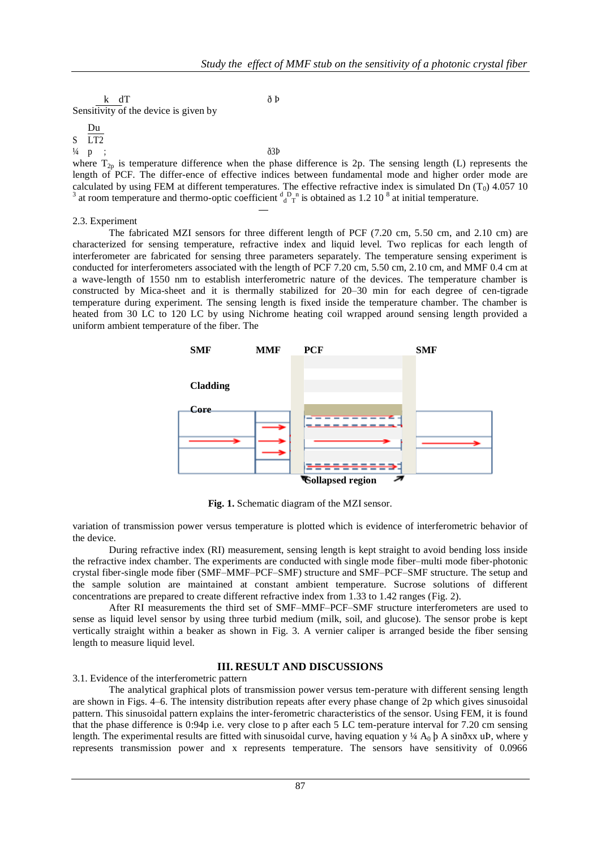k dT ð Þ Sensitivity of the device is given by

S LT2  $\frac{1}{4}$  p Du ;  $\delta 3P$ where  $T_{2p}$  is temperature difference when the phase difference is 2p. The sensing length (L) represents the length of PCF. The differ-ence of effective indices between fundamental mode and higher order mode are calculated by using FEM at different temperatures. The effective refractive index is simulated Dn  $(T_0)$  4.057 10 <sup>3</sup> at room temperature and thermo-optic coefficient  $\frac{d}{d}$   $\frac{D}{T}$  is obtained as 1.2 10<sup>8</sup> at initial temperature.

## 2.3. Experiment

The fabricated MZI sensors for three different length of PCF (7.20 cm, 5.50 cm, and 2.10 cm) are characterized for sensing temperature, refractive index and liquid level. Two replicas for each length of interferometer are fabricated for sensing three parameters separately. The temperature sensing experiment is conducted for interferometers associated with the length of PCF 7.20 cm, 5.50 cm, 2.10 cm, and MMF 0.4 cm at a wave-length of 1550 nm to establish interferometric nature of the devices. The temperature chamber is constructed by Mica-sheet and it is thermally stabilized for 20–30 min for each degree of cen-tigrade temperature during experiment. The sensing length is fixed inside the temperature chamber. The chamber is heated from 30 LC to 120 LC by using Nichrome heating coil wrapped around sensing length provided a uniform ambient temperature of the fiber. The



**Fig. 1.** Schematic diagram of the MZI sensor.

<span id="page-2-0"></span>variation of transmission power versus temperature is plotted which is evidence of interferometric behavior of the device.

During refractive index (RI) measurement, sensing length is kept straight to avoid bending loss inside the refractive index chamber. The experiments are conducted with single mode fiber–multi mode fiber-photonic crystal fiber-single mode fiber (SMF–MMF–PCF–SMF) structure and SMF–PCF–SMF structure. The setup and the sample solution are maintained at constant ambient temperature. Sucrose solutions of different concentrations are prepared to create different refractive index from 1.33 to 1.42 ranges [\(Fig. 2\)](#page-2-0).

After RI measurements the third set of SMF–MMF–PCF–SMF structure interferometers are used to sense as liquid level sensor by using three turbid medium (milk, soil, and glucose). The sensor probe is kept vertically straight within a beaker as shown in [Fig. 3.](#page-2-0) A vernier caliper is arranged beside the fiber sensing length to measure liquid level.

## **III. RESULT AND DISCUSSIONS**

3.1. Evidence of the interferometric pattern

The analytical graphical plots of transmission power versus tem-perature with different sensing length are shown in [Figs. 4–6.](#page-2-0) The intensity distribution repeats after every phase change of 2p which gives sinusoidal pattern. This sinusoidal pattern explains the inter-ferometric characteristics of the sensor. Using FEM, it is found that the phase difference is 0:94p i.e. very close to p after each 5 LC tem-perature interval for 7.20 cm sensing length. The experimental results are fitted with sinusoidal curve, having equation y ¼  $A_0$   $\beta$  A sinðxx uÞ, where y represents transmission power and x represents temperature. The sensors have sensitivity of 0.0966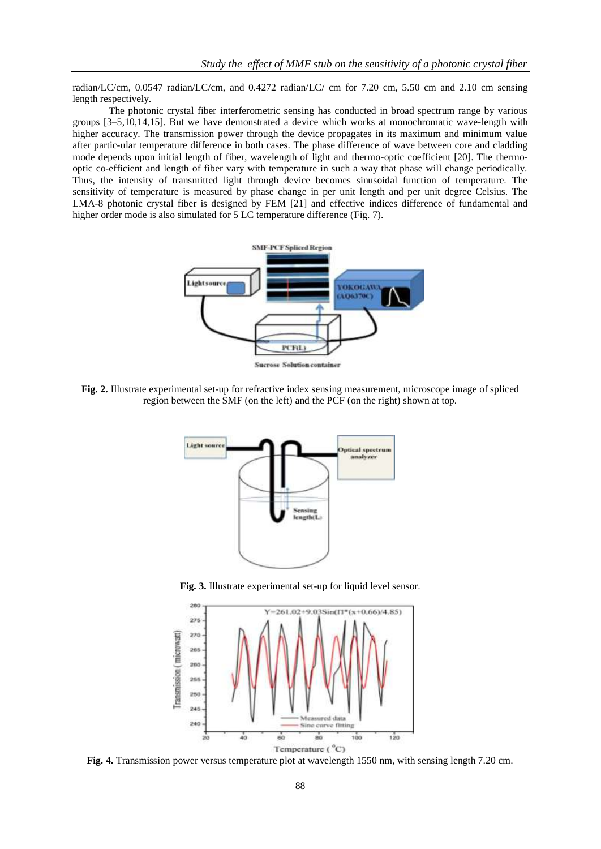radian/LC/cm, 0.0547 radian/LC/cm, and 0.4272 radian/LC/ cm for 7.20 cm, 5.50 cm and 2.10 cm sensing length respectively.

The photonic crystal fiber interferometric sensing has conducted in broad spectrum range by various groups [\[3–5,10,14,15\].](#page-6-0) But we have demonstrated a device which works at monochromatic wave-length with higher accuracy. The transmission power through the device propagates in its maximum and minimum value after partic-ular temperature difference in both cases. The phase difference of wave between core and cladding mode depends upon initial length of fiber, wavelength of light and thermo-optic coefficient [20]. The thermooptic co-efficient and length of fiber vary with temperature in such a way that phase will change periodically. Thus, the intensity of transmitted light through device becomes sinusoidal function of temperature. The sensitivity of temperature is measured by phase change in per unit length and per unit degree Celsius. The LMA-8 photonic crystal fiber is designed by FEM [21] and effective indices difference of fundamental and higher order mode is also simulated for 5 LC temperature difference [\(Fig. 7\)](#page-4-0).



**Fig. 2.** Illustrate experimental set-up for refractive index sensing measurement, microscope image of spliced region between the SMF (on the left) and the PCF (on the right) shown at top.



**Fig. 3.** Illustrate experimental set-up for liquid level sensor.



**Fig. 4.** Transmission power versus temperature plot at wavelength 1550 nm, with sensing length 7.20 cm.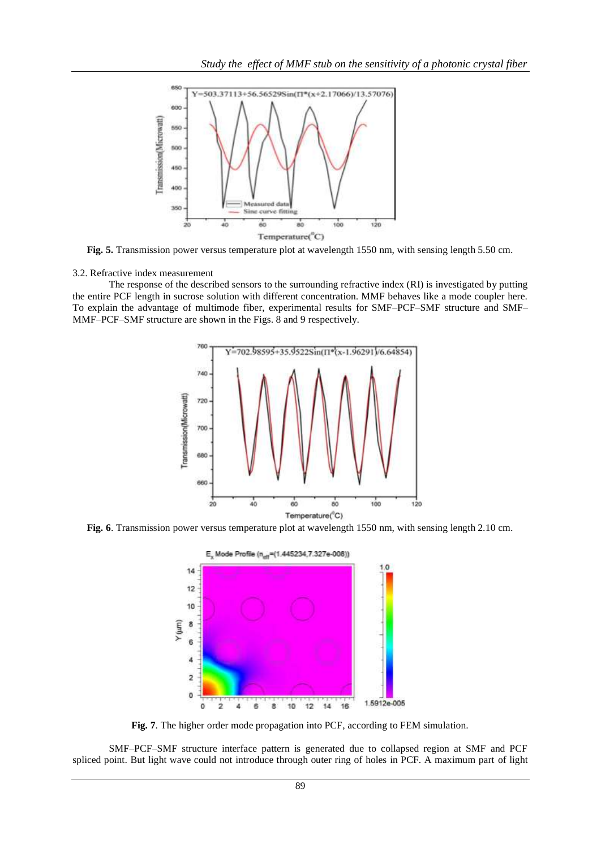

**Fig. 5.** Transmission power versus temperature plot at wavelength 1550 nm, with sensing length 5.50 cm.

3.2. Refractive index measurement

<span id="page-4-0"></span>The response of the described sensors to the surrounding refractive index (RI) is investigated by putting the entire PCF length in sucrose solution with different concentration. MMF behaves like a mode coupler here. To explain the advantage of multimode fiber, experimental results for SMF–PCF–SMF structure and SMF– MMF–PCF–SMF structure are shown in the [Figs. 8 and 9](#page-4-0) respectively.



**Fig. 6**. Transmission power versus temperature plot at wavelength 1550 nm, with sensing length 2.10 cm.



**Fig. 7**. The higher order mode propagation into PCF, according to FEM simulation.

SMF–PCF–SMF structure interface pattern is generated due to collapsed region at SMF and PCF spliced point. But light wave could not introduce through outer ring of holes in PCF. A maximum part of light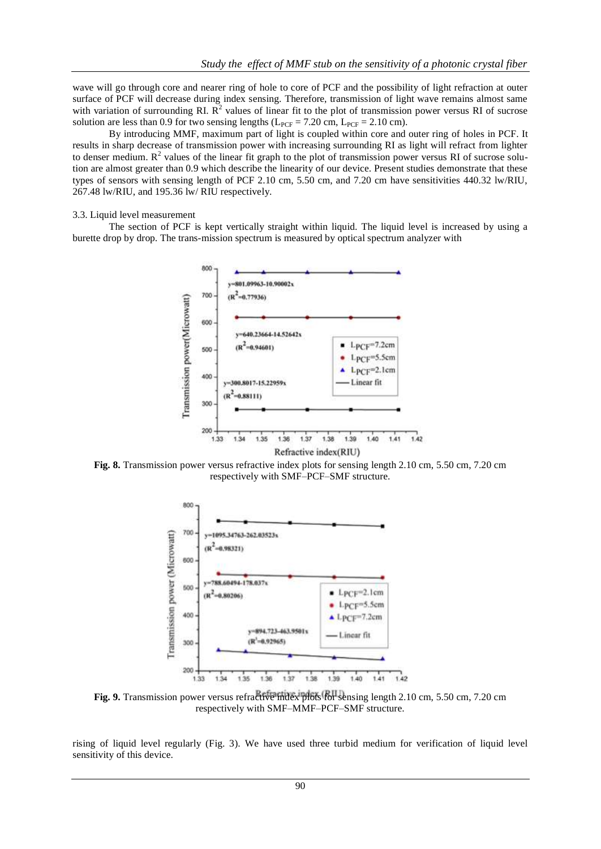wave will go through core and nearer ring of hole to core of PCF and the possibility of light refraction at outer surface of PCF will decrease during index sensing. Therefore, transmission of light wave remains almost same with variation of surrounding RI.  $\mathbb{R}^2$  values of linear fit to the plot of transmission power versus RI of sucrose solution are less than 0.9 for two sensing lengths ( $L_{PCF} = 7.20$  cm,  $L_{PCF} = 2.10$  cm).

By introducing MMF, maximum part of light is coupled within core and outer ring of holes in PCF. It results in sharp decrease of transmission power with increasing surrounding RI as light will refract from lighter to denser medium.  $R^2$  values of the linear fit graph to the plot of transmission power versus RI of sucrose solution are almost greater than 0.9 which describe the linearity of our device. Present studies demonstrate that these types of sensors with sensing length of PCF 2.10 cm, 5.50 cm, and 7.20 cm have sensitivities 440.32 lw/RIU, 267.48 lw/RIU, and 195.36 lw/ RIU respectively.

#### 3.3. Liquid level measurement

The section of PCF is kept vertically straight within liquid. The liquid level is increased by using a burette drop by drop. The trans-mission spectrum is measured by optical spectrum analyzer with



**Fig. 8.** Transmission power versus refractive index plots for sensing length 2.10 cm, 5.50 cm, 7.20 cm respectively with SMF–PCF–SMF structure.



**Fig. 9.** Transmission power versus refractive index plots for sensing length 2.10 cm, 5.50 cm, 7.20 cm respectively with SMF–MMF–PCF–SMF structure.

rising of liquid level regularly [\(Fig. 3\)](#page-2-0). We have used three turbid medium for verification of liquid level sensitivity of this device.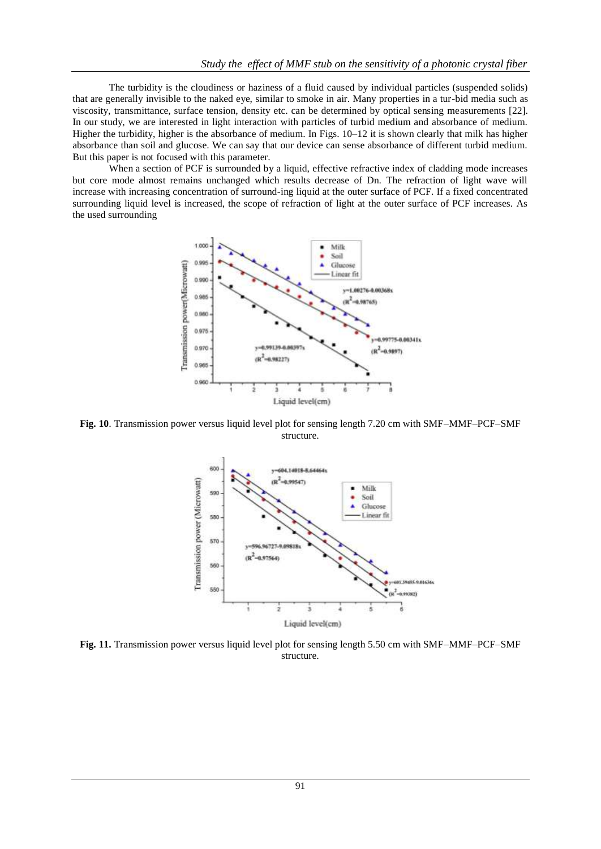The turbidity is the cloudiness or haziness of a fluid caused by individual particles (suspended solids) that are generally invisible to the naked eye, similar to smoke in air. Many properties in a tur-bid media such as viscosity, transmittance, surface tension, density etc. can be determined by optical sensing measurements [22]. In our study, we are interested in light interaction with particles of turbid medium and absorbance of medium. Higher the turbidity, higher is the absorbance of medium. In [Figs. 10–12 i](#page-6-0)t is shown clearly that milk has higher absorbance than soil and glucose. We can say that our device can sense absorbance of different turbid medium. But this paper is not focused with this parameter.

<span id="page-6-0"></span>When a section of PCF is surrounded by a liquid, effective refractive index of cladding mode increases but core mode almost remains unchanged which results decrease of Dn. The refraction of light wave will increase with increasing concentration of surround-ing liquid at the outer surface of PCF. If a fixed concentrated surrounding liquid level is increased, the scope of refraction of light at the outer surface of PCF increases. As the used surrounding



**Fig. 10**. Transmission power versus liquid level plot for sensing length 7.20 cm with SMF–MMF–PCF–SMF structure.



**Fig. 11.** Transmission power versus liquid level plot for sensing length 5.50 cm with SMF–MMF–PCF–SMF structure.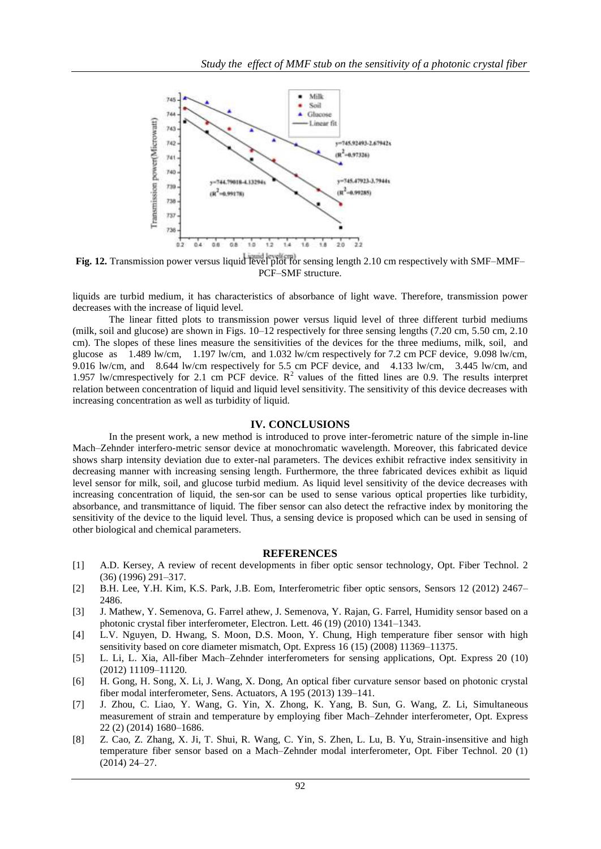

**Fig. 12.** Transmission power versus liquid level plot for sensing length 2.10 cm respectively with SMF–MMF– PCF–SMF structure.

liquids are turbid medium, it has characteristics of absorbance of light wave. Therefore, transmission power decreases with the increase of liquid level.

The linear fitted plots to transmission power versus liquid level of three different turbid mediums (milk, soil and glucose) are shown in Figs.  $10-12$  respectively for three sensing lengths (7.20 cm, 5.50 cm, 2.10) cm). The slopes of these lines measure the sensitivities of the devices for the three mediums, milk, soil, and glucose as 1.489 lw/cm, 1.197 lw/cm, and 1.032 lw/cm respectively for 7.2 cm PCF device, 9.098 lw/cm, 9.016 lw/cm, and 8.644 lw/cm respectively for 5.5 cm PCF device, and 4.133 lw/cm, 3.445 lw/cm, and 1.957 lw/cmrespectively for 2.1 cm PCF device.  $R^2$  values of the fitted lines are 0.9. The results interpret relation between concentration of liquid and liquid level sensitivity. The sensitivity of this device decreases with increasing concentration as well as turbidity of liquid.

#### **IV. CONCLUSIONS**

In the present work, a new method is introduced to prove inter-ferometric nature of the simple in-line Mach–Zehnder interfero-metric sensor device at monochromatic wavelength. Moreover, this fabricated device shows sharp intensity deviation due to exter-nal parameters. The devices exhibit refractive index sensitivity in decreasing manner with increasing sensing length. Furthermore, the three fabricated devices exhibit as liquid level sensor for milk, soil, and glucose turbid medium. As liquid level sensitivity of the device decreases with increasing concentration of liquid, the sen-sor can be used to sense various optical properties like turbidity, absorbance, and transmittance of liquid. The fiber sensor can also detect the refractive index by monitoring the sensitivity of the device to the liquid level. Thus, a sensing device is proposed which can be used in sensing of other biological and chemical parameters.

#### **REFERENCES**

- [1] [A.D. Kersey, A review of recent developments in fiber optic sensor technology,](http://refhub.elsevier.com/S1068-5200(14)00163-1/h0005) [Opt. Fiber Technol. 2](http://refhub.elsevier.com/S1068-5200(14)00163-1/h0005)  [\(36\) \(1996\) 291–317.](http://refhub.elsevier.com/S1068-5200(14)00163-1/h0005)
- [2] [B.H. Lee, Y.H. Kim, K.S. Park, J.B. Eom, Interferometric fiber optic sensors,](http://refhub.elsevier.com/S1068-5200(14)00163-1/h0010) [Sensors 12 \(2012\) 2467–](http://refhub.elsevier.com/S1068-5200(14)00163-1/h0010) [2486.](http://refhub.elsevier.com/S1068-5200(14)00163-1/h0010)
- [3] [J. Mathew, Y. Semenova, G. Farrel athew, J. Semenova, Y. Rajan, G. Farrel,](http://refhub.elsevier.com/S1068-5200(14)00163-1/h0015) [Humidity sensor based on a](http://refhub.elsevier.com/S1068-5200(14)00163-1/h0015)  [photonic crystal fiber interferometer, Electron.](http://refhub.elsevier.com/S1068-5200(14)00163-1/h0015) [Lett. 46 \(19\) \(2010\) 1341–1343.](http://refhub.elsevier.com/S1068-5200(14)00163-1/h0015)
- [4] [L.V. Nguyen, D. Hwang, S. Moon, D.S. Moon, Y. Chung, High temperature fiber](http://refhub.elsevier.com/S1068-5200(14)00163-1/h0020) [sensor with high](http://refhub.elsevier.com/S1068-5200(14)00163-1/h0020)  [sensitivity based on core diameter mismatch, Opt. Express 16](http://refhub.elsevier.com/S1068-5200(14)00163-1/h0020) [\(15\) \(2008\) 11369–11375.](http://refhub.elsevier.com/S1068-5200(14)00163-1/h0020)
- [5] [L. Li, L. Xia, All-fiber Mach–Zehnder interferometers for sensing applications,](http://refhub.elsevier.com/S1068-5200(14)00163-1/h0025) [Opt. Express 20 \(10\)](http://refhub.elsevier.com/S1068-5200(14)00163-1/h0025)  [\(2012\) 11109–11120.](http://refhub.elsevier.com/S1068-5200(14)00163-1/h0025)
- [6] [H. Gong, H. Song, X. Li, J. Wang, X. Dong, An optical fiber curvature sensor](http://refhub.elsevier.com/S1068-5200(14)00163-1/h0030) [based on photonic crystal](http://refhub.elsevier.com/S1068-5200(14)00163-1/h0030)  [fiber modal interferometer, Sens. Actuators, A 195](http://refhub.elsevier.com/S1068-5200(14)00163-1/h0030) [\(2013\) 139–141.](http://refhub.elsevier.com/S1068-5200(14)00163-1/h0030)
- [7] [J. Zhou, C. Liao, Y. Wang, G. Yin, X. Zhong, K. Yang, B. Sun, G. Wang, Z. Li,](http://refhub.elsevier.com/S1068-5200(14)00163-1/h0035) [Simultaneous](http://refhub.elsevier.com/S1068-5200(14)00163-1/h0035)  [measurement of strain and temperature by employing fiber](http://refhub.elsevier.com/S1068-5200(14)00163-1/h0035) [Mach–Zehnder interferometer, Opt. Express](http://refhub.elsevier.com/S1068-5200(14)00163-1/h0035)  [22 \(2\) \(2014\) 1680–1686.](http://refhub.elsevier.com/S1068-5200(14)00163-1/h0035)
- [8] [Z. Cao, Z. Zhang, X. Ji, T. Shui, R. Wang, C. Yin, S. Zhen, L. Lu, B. Yu, Strain-insensitive and](http://refhub.elsevier.com/S1068-5200(14)00163-1/h0040) high temperature fiber sensor based on a Mach–Zehnder [modal interferometer, Opt. Fiber Technol. 20 \(1\)](http://refhub.elsevier.com/S1068-5200(14)00163-1/h0040)  [\(2014\) 24–27.](http://refhub.elsevier.com/S1068-5200(14)00163-1/h0040)